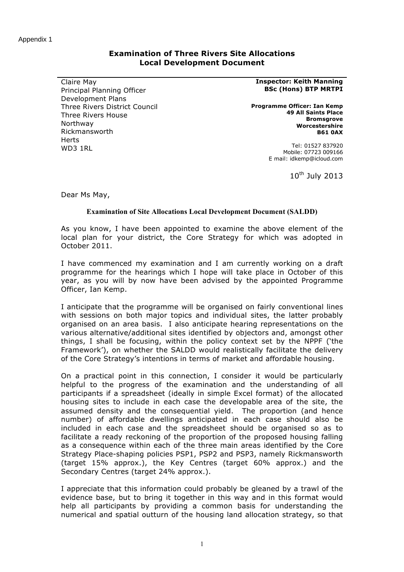## **Examination of Three Rivers Site Allocations Local Development Document**

Claire May Principal Planning Officer Development Plans Three Rivers District Council Three Rivers House Northway Rickmansworth Herts WD3 1RL

## **Inspector: Keith Manning BSc (Hons) BTP MRTPI**

**Programme Officer: Ian Kemp 49 All Saints Place Bromsgrove Worcestershire B61 0AX**

> Tel: 01527 837920 Mobile: 07723 009166 E mail: idkemp@icloud.com

> > 10<sup>th</sup> July 2013

Dear Ms May,

## **Examination of Site Allocations Local Development Document (SALDD)**

As you know, I have been appointed to examine the above element of the local plan for your district, the Core Strategy for which was adopted in October 2011.

I have commenced my examination and I am currently working on a draft programme for the hearings which I hope will take place in October of this year, as you will by now have been advised by the appointed Programme Officer, Ian Kemp.

I anticipate that the programme will be organised on fairly conventional lines with sessions on both major topics and individual sites, the latter probably organised on an area basis. I also anticipate hearing representations on the various alternative/additional sites identified by objectors and, amongst other things, I shall be focusing, within the policy context set by the NPPF ('the Framework'), on whether the SALDD would realistically facilitate the delivery of the Core Strategy's intentions in terms of market and affordable housing.

On a practical point in this connection, I consider it would be particularly helpful to the progress of the examination and the understanding of all participants if a spreadsheet (ideally in simple Excel format) of the allocated housing sites to include in each case the developable area of the site, the assumed density and the consequential yield. The proportion (and hence number) of affordable dwellings anticipated in each case should also be included in each case and the spreadsheet should be organised so as to facilitate a ready reckoning of the proportion of the proposed housing falling as a consequence within each of the three main areas identified by the Core Strategy Place-shaping policies PSP1, PSP2 and PSP3, namely Rickmansworth (target 15% approx.), the Key Centres (target 60% approx.) and the Secondary Centres (target 24% approx.).

I appreciate that this information could probably be gleaned by a trawl of the evidence base, but to bring it together in this way and in this format would help all participants by providing a common basis for understanding the numerical and spatial outturn of the housing land allocation strategy, so that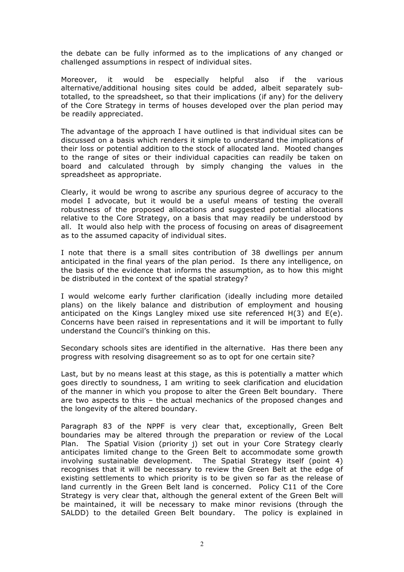the debate can be fully informed as to the implications of any changed or challenged assumptions in respect of individual sites.

Moreover, it would be especially helpful also if the various alternative/additional housing sites could be added, albeit separately subtotalled, to the spreadsheet, so that their implications (if any) for the delivery of the Core Strategy in terms of houses developed over the plan period may be readily appreciated.

The advantage of the approach I have outlined is that individual sites can be discussed on a basis which renders it simple to understand the implications of their loss or potential addition to the stock of allocated land. Mooted changes to the range of sites or their individual capacities can readily be taken on board and calculated through by simply changing the values in the spreadsheet as appropriate.

Clearly, it would be wrong to ascribe any spurious degree of accuracy to the model I advocate, but it would be a useful means of testing the overall robustness of the proposed allocations and suggested potential allocations relative to the Core Strategy, on a basis that may readily be understood by all. It would also help with the process of focusing on areas of disagreement as to the assumed capacity of individual sites.

I note that there is a small sites contribution of 38 dwellings per annum anticipated in the final years of the plan period. Is there any intelligence, on the basis of the evidence that informs the assumption, as to how this might be distributed in the context of the spatial strategy?

I would welcome early further clarification (ideally including more detailed plans) on the likely balance and distribution of employment and housing anticipated on the Kings Langley mixed use site referenced H(3) and E(e). Concerns have been raised in representations and it will be important to fully understand the Council's thinking on this.

Secondary schools sites are identified in the alternative. Has there been any progress with resolving disagreement so as to opt for one certain site?

Last, but by no means least at this stage, as this is potentially a matter which goes directly to soundness, I am writing to seek clarification and elucidation of the manner in which you propose to alter the Green Belt boundary. There are two aspects to this – the actual mechanics of the proposed changes and the longevity of the altered boundary.

Paragraph 83 of the NPPF is very clear that, exceptionally, Green Belt boundaries may be altered through the preparation or review of the Local Plan. The Spatial Vision (priority j) set out in your Core Strategy clearly anticipates limited change to the Green Belt to accommodate some growth involving sustainable development. The Spatial Strategy itself (point 4) recognises that it will be necessary to review the Green Belt at the edge of existing settlements to which priority is to be given so far as the release of land currently in the Green Belt land is concerned. Policy C11 of the Core Strategy is very clear that, although the general extent of the Green Belt will be maintained, it will be necessary to make minor revisions (through the SALDD) to the detailed Green Belt boundary. The policy is explained in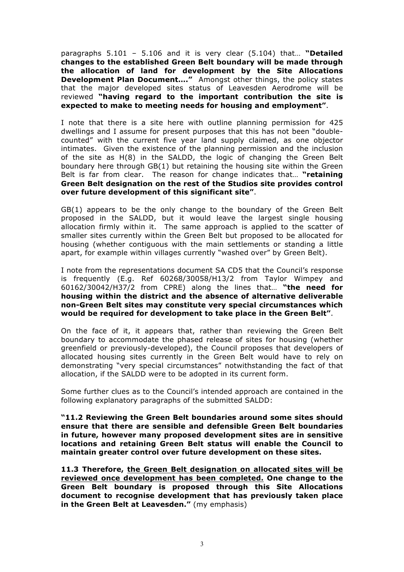paragraphs 5.101 – 5.106 and it is very clear (5.104) that… **"Detailed changes to the established Green Belt boundary will be made through the allocation of land for development by the Site Allocations Development Plan Document…."** Amongst other things, the policy states that the major developed sites status of Leavesden Aerodrome will be reviewed **"having regard to the important contribution the site is expected to make to meeting needs for housing and employment"**.

I note that there is a site here with outline planning permission for 425 dwellings and I assume for present purposes that this has not been "doublecounted" with the current five year land supply claimed, as one objector intimates. Given the existence of the planning permission and the inclusion of the site as H(8) in the SALDD, the logic of changing the Green Belt boundary here through GB(1) but retaining the housing site within the Green Belt is far from clear. The reason for change indicates that… **"retaining Green Belt designation on the rest of the Studios site provides control over future development of this significant site"**.

GB(1) appears to be the only change to the boundary of the Green Belt proposed in the SALDD, but it would leave the largest single housing allocation firmly within it. The same approach is applied to the scatter of smaller sites currently within the Green Belt but proposed to be allocated for housing (whether contiguous with the main settlements or standing a little apart, for example within villages currently "washed over" by Green Belt).

I note from the representations document SA CD5 that the Council's response is frequently (E.g. Ref 60268/30058/H13/2 from Taylor Wimpey and 60162/30042/H37/2 from CPRE) along the lines that… **"the need for housing within the district and the absence of alternative deliverable non-Green Belt sites may constitute very special circumstances which would be required for development to take place in the Green Belt"**.

On the face of it, it appears that, rather than reviewing the Green Belt boundary to accommodate the phased release of sites for housing (whether greenfield or previously-developed), the Council proposes that developers of allocated housing sites currently in the Green Belt would have to rely on demonstrating "very special circumstances" notwithstanding the fact of that allocation, if the SALDD were to be adopted in its current form.

Some further clues as to the Council's intended approach are contained in the following explanatory paragraphs of the submitted SALDD:

**"11.2 Reviewing the Green Belt boundaries around some sites should ensure that there are sensible and defensible Green Belt boundaries in future, however many proposed development sites are in sensitive locations and retaining Green Belt status will enable the Council to maintain greater control over future development on these sites.**

**11.3 Therefore, the Green Belt designation on allocated sites will be reviewed once development has been completed. One change to the Green Belt boundary is proposed through this Site Allocations document to recognise development that has previously taken place in the Green Belt at Leavesden."** (my emphasis)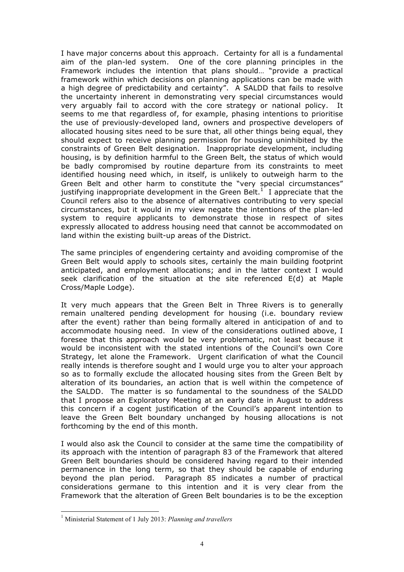I have major concerns about this approach. Certainty for all is a fundamental aim of the plan-led system. One of the core planning principles in the Framework includes the intention that plans should… "provide a practical framework within which decisions on planning applications can be made with a high degree of predictability and certainty". A SALDD that fails to resolve the uncertainty inherent in demonstrating very special circumstances would very arguably fail to accord with the core strategy or national policy. It seems to me that regardless of, for example, phasing intentions to prioritise the use of previously-developed land, owners and prospective developers of allocated housing sites need to be sure that, all other things being equal, they should expect to receive planning permission for housing uninhibited by the constraints of Green Belt designation. Inappropriate development, including housing, is by definition harmful to the Green Belt, the status of which would be badly compromised by routine departure from its constraints to meet identified housing need which, in itself, is unlikely to outweigh harm to the Green Belt and other harm to constitute the "very special circumstances" justifying inappropriate development in the Green Belt.<sup>1</sup> I appreciate that the Council refers also to the absence of alternatives contributing to very special circumstances, but it would in my view negate the intentions of the plan-led system to require applicants to demonstrate those in respect of sites expressly allocated to address housing need that cannot be accommodated on land within the existing built-up areas of the District.

The same principles of engendering certainty and avoiding compromise of the Green Belt would apply to schools sites, certainly the main building footprint anticipated, and employment allocations; and in the latter context I would seek clarification of the situation at the site referenced E(d) at Maple Cross/Maple Lodge).

It very much appears that the Green Belt in Three Rivers is to generally remain unaltered pending development for housing (i.e. boundary review after the event) rather than being formally altered in anticipation of and to accommodate housing need. In view of the considerations outlined above, I foresee that this approach would be very problematic, not least because it would be inconsistent with the stated intentions of the Council's own Core Strategy, let alone the Framework. Urgent clarification of what the Council really intends is therefore sought and I would urge you to alter your approach so as to formally exclude the allocated housing sites from the Green Belt by alteration of its boundaries, an action that is well within the competence of the SALDD. The matter is so fundamental to the soundness of the SALDD that I propose an Exploratory Meeting at an early date in August to address this concern if a cogent justification of the Council's apparent intention to leave the Green Belt boundary unchanged by housing allocations is not forthcoming by the end of this month.

I would also ask the Council to consider at the same time the compatibility of its approach with the intention of paragraph 83 of the Framework that altered Green Belt boundaries should be considered having regard to their intended permanence in the long term, so that they should be capable of enduring beyond the plan period. Paragraph 85 indicates a number of practical considerations germane to this intention and it is very clear from the Framework that the alteration of Green Belt boundaries is to be the exception

 <sup>1</sup> Ministerial Statement of 1 July 2013: *Planning and travellers*